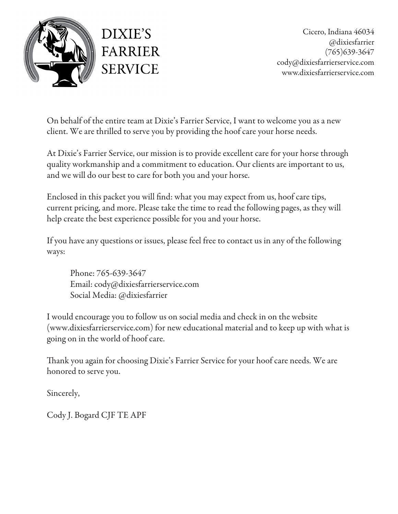

On behalf of the entire team at Dixie's Farrier Service, I want to welcome you as a new client. We are thrilled to serve you by providing the hoof care your horse needs.

At Dixie's Farrier Service, our mission is to provide excellent care for your horse through quality workmanship and a commitment to education. Our clients are important to us, and we will do our best to care for both you and your horse.

Enclosed in this packet you will find: what you may expect from us, hoof care tips, current pricing, and more. Please take the time to read the following pages, as they will help create the best experience possible for you and your horse.

If you have any questions or issues, please feel free to contact us in any of the following ways:

Phone: 765-639-3647 Email: cody@dixiesfarrierservice.com Social Media: @dixiesfarrier

I would encourage you to follow us on social media and check in on the website (www.dixiesfarrierservice.com) for new educational material and to keep up with what is going on in the world of hoof care.

Thank you again for choosing Dixie's Farrier Service for your hoof care needs. We are honored to serve you.

Sincerely,

Cody J. Bogard CJF TE APF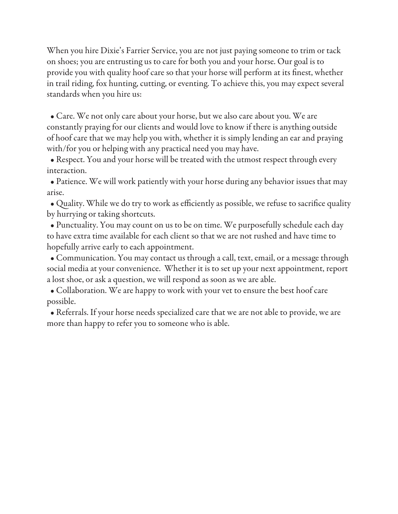When you hire Dixie's Farrier Service, you are not just paying someone to trim or tack on shoes; you are entrusting us to care for both you and your horse. Our goal is to provide you with quality hoof care so that your horse will perform at its finest, whether in trail riding, fox hunting, cutting, or eventing. To achieve this, you may expect several standards when you hire us:

 • Care. We not only care about your horse, but we also care about you. We are constantly praying for our clients and would love to know if there is anything outside of hoof care that we may help you with, whether it is simply lending an ear and praying with/for you or helping with any practical need you may have.

 • Respect. You and your horse will be treated with the utmost respect through every interaction.

 • Patience. We will work patiently with your horse during any behavior issues that may arise.

 • Quality. While we do try to work as efficiently as possible, we refuse to sacrifice quality by hurrying or taking shortcuts.

 • Punctuality. You may count on us to be on time. We purposefully schedule each day to have extra time available for each client so that we are not rushed and have time to hopefully arrive early to each appointment.

 • Communication. You may contact us through a call, text, email, or a message through social media at your convenience. Whether it is to set up your next appointment, report a lost shoe, or ask a question, we will respond as soon as we are able.

 • Collaboration. We are happy to work with your vet to ensure the best hoof care possible.

 • Referrals. If your horse needs specialized care that we are not able to provide, we are more than happy to refer you to someone who is able.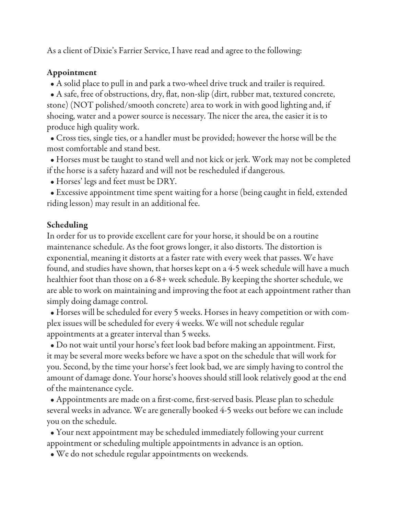As a client of Dixie's Farrier Service, I have read and agree to the following:

## Appointment

• A solid place to pull in and park a two-wheel drive truck and trailer is required.

 • A safe, free of obstructions, dry, flat, non-slip (dirt, rubber mat, textured concrete, stone) (NOT polished/smooth concrete) area to work in with good lighting and, if shoeing, water and a power source is necessary. The nicer the area, the easier it is to produce high quality work.

 • Cross ties, single ties, or a handler must be provided; however the horse will be the most comfortable and stand best.

 • Horses must be taught to stand well and not kick or jerk. Work may not be completed if the horse is a safety hazard and will not be rescheduled if dangerous.

• Horses' legs and feet must be DRY.

 • Excessive appointment time spent waiting for a horse (being caught in field, extended riding lesson) may result in an additional fee.

## Scheduling

In order for us to provide excellent care for your horse, it should be on a routine maintenance schedule. As the foot grows longer, it also distorts. The distortion is exponential, meaning it distorts at a faster rate with every week that passes. We have found, and studies have shown, that horses kept on a 4-5 week schedule will have a much healthier foot than those on a 6-8+ week schedule. By keeping the shorter schedule, we are able to work on maintaining and improving the foot at each appointment rather than simply doing damage control.

 • Horses will be scheduled for every 5 weeks. Horses in heavy competition or with complex issues will be scheduled for every 4 weeks. We will not schedule regular appointments at a greater interval than 5 weeks.

 • Do not wait until your horse's feet look bad before making an appointment. First, it may be several more weeks before we have a spot on the schedule that will work for you. Second, by the time your horse's feet look bad, we are simply having to control the amount of damage done. Your horse's hooves should still look relatively good at the end of the maintenance cycle.

 • Appointments are made on a first-come, first-served basis. Please plan to schedule several weeks in advance. We are generally booked 4-5 weeks out before we can include you on the schedule.

 • Your next appointment may be scheduled immediately following your current appointment or scheduling multiple appointments in advance is an option.

• We do not schedule regular appointments on weekends.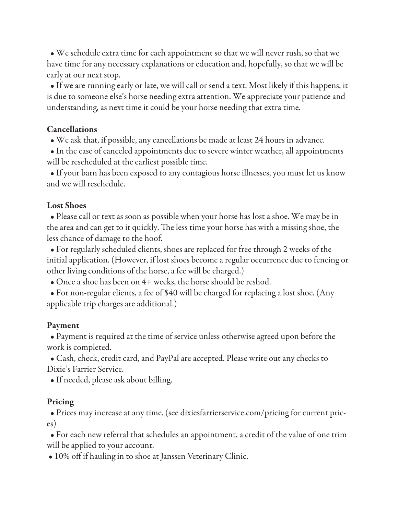• We schedule extra time for each appointment so that we will never rush, so that we have time for any necessary explanations or education and, hopefully, so that we will be early at our next stop.

 • If we are running early or late, we will call or send a text. Most likely if this happens, it is due to someone else's horse needing extra attention. We appreciate your patience and understanding, as next time it could be your horse needing that extra time.

### Cancellations

• We ask that, if possible, any cancellations be made at least 24 hours in advance.

 • In the case of canceled appointments due to severe winter weather, all appointments will be rescheduled at the earliest possible time.

 • If your barn has been exposed to any contagious horse illnesses, you must let us know and we will reschedule.

## Lost Shoes

 • Please call or text as soon as possible when your horse has lost a shoe. We may be in the area and can get to it quickly. The less time your horse has with a missing shoe, the less chance of damage to the hoof.

 • For regularly scheduled clients, shoes are replaced for free through 2 weeks of the initial application. (However, if lost shoes become a regular occurrence due to fencing or other living conditions of the horse, a fee will be charged.)

• Once a shoe has been on 4+ weeks, the horse should be reshod.

 • For non-regular clients, a fee of \$40 will be charged for replacing a lost shoe. (Any applicable trip charges are additional.)

# Payment

 • Payment is required at the time of service unless otherwise agreed upon before the work is completed.

 • Cash, check, credit card, and PayPal are accepted. Please write out any checks to Dixie's Farrier Service.

• If needed, please ask about billing.

# Pricing

 • Prices may increase at any time. (see dixiesfarrierservice.com/pricing for current prices)

 • For each new referral that schedules an appointment, a credit of the value of one trim will be applied to your account.

• 10% off if hauling in to shoe at Janssen Veterinary Clinic.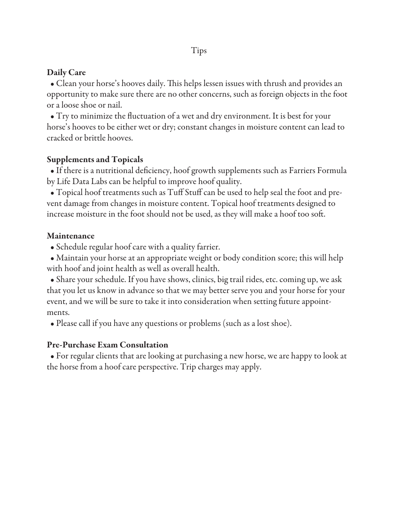## Daily Care

 • Clean your horse's hooves daily. This helps lessen issues with thrush and provides an opportunity to make sure there are no other concerns, such as foreign objects in the foot or a loose shoe or nail.

 • Try to minimize the fluctuation of a wet and dry environment. It is best for your horse's hooves to be either wet or dry; constant changes in moisture content can lead to cracked or brittle hooves.

### Supplements and Topicals

 • If there is a nutritional deficiency, hoof growth supplements such as Farriers Formula by Life Data Labs can be helpful to improve hoof quality.

 • Topical hoof treatments such as Tuff Stuff can be used to help seal the foot and prevent damage from changes in moisture content. Topical hoof treatments designed to increase moisture in the foot should not be used, as they will make a hoof too soft.

#### Maintenance

• Schedule regular hoof care with a quality farrier.

 • Maintain your horse at an appropriate weight or body condition score; this will help with hoof and joint health as well as overall health.

 • Share your schedule. If you have shows, clinics, big trail rides, etc. coming up, we ask that you let us know in advance so that we may better serve you and your horse for your event, and we will be sure to take it into consideration when setting future appointments.

• Please call if you have any questions or problems (such as a lost shoe).

#### Pre-Purchase Exam Consultation

 • For regular clients that are looking at purchasing a new horse, we are happy to look at the horse from a hoof care perspective. Trip charges may apply.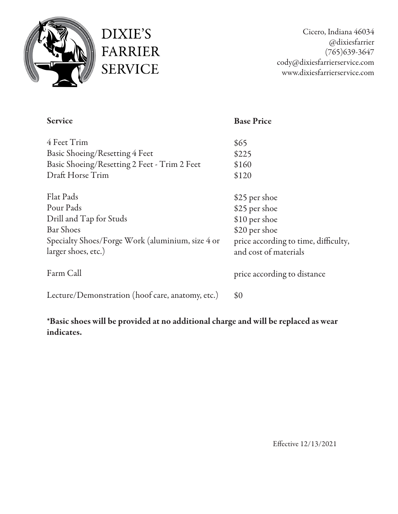

DIXIE'S **FARRIER SERVICE** 

Cicero, Indiana 46034 @dixiesfarrier (765)639-3647 cody@dixiesfarrierservice.com www.dixiesfarrierservice.com

| <b>Service</b>                                                                                                                                          | <b>Base Price</b>                                                                                                                 |
|---------------------------------------------------------------------------------------------------------------------------------------------------------|-----------------------------------------------------------------------------------------------------------------------------------|
| 4 Feet Trim<br>Basic Shoeing/Resetting 4 Feet<br>Basic Shoeing/Resetting 2 Feet - Trim 2 Feet<br>Draft Horse Trim                                       | \$65<br>\$225<br>\$160<br>\$120                                                                                                   |
| <b>Flat Pads</b><br>Pour Pads<br>Drill and Tap for Studs<br><b>Bar Shoes</b><br>Specialty Shoes/Forge Work (aluminium, size 4 or<br>larger shoes, etc.) | \$25 per shoe<br>\$25 per shoe<br>\$10 per shoe<br>\$20 per shoe<br>price according to time, difficulty,<br>and cost of materials |
| Farm Call                                                                                                                                               | price according to distance                                                                                                       |
| Lecture/Demonstration (hoof care, anatomy, etc.)                                                                                                        | \$0                                                                                                                               |

\*Basic shoes will be provided at no additional charge and will be replaced as wear indicates.

Effective 12/13/2021